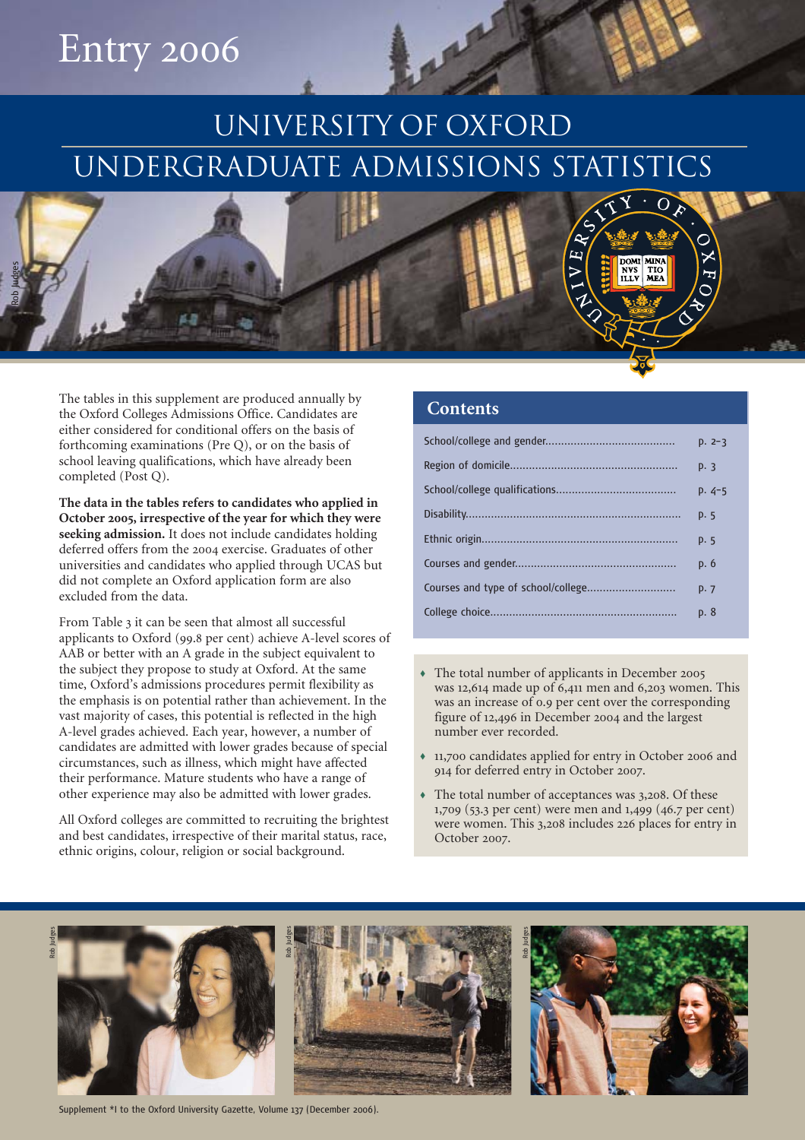# Entry 2006

# UNIVERSITY OF OXFORD UNDERGRADUATE ADMISSIONS STATISTICS



The tables in this supplement are produced annually by the Oxford Colleges Admissions Office. Candidates are either considered for conditional offers on the basis of forthcoming examinations (Pre Q), or on the basis of school leaving qualifications, which have already been completed (Post Q).

**The data in the tables refers to candidates who applied in October 2005, irrespective of the year for which they were seeking admission.** It does not include candidates holding deferred offers from the 2004 exercise. Graduates of other universities and candidates who applied through UCAS but did not complete an Oxford application form are also excluded from the data.

From Table 3 it can be seen that almost all successful applicants to Oxford (99.8 per cent) achieve A-level scores of AAB or better with an A grade in the subject equivalent to the subject they propose to study at Oxford. At the same time, Oxford's admissions procedures permit flexibility as the emphasis is on potential rather than achievement. In the vast majority of cases, this potential is reflected in the high A-level grades achieved. Each year, however, a number of candidates are admitted with lower grades because of special circumstances, such as illness, which might have affected their performance. Mature students who have a range of other experience may also be admitted with lower grades.

All Oxford colleges are committed to recruiting the brightest and best candidates, irrespective of their marital status, race, ethnic origins, colour, religion or social background.

#### **Contents**

| $D. 2-3$ |
|----------|
| p. 3     |
| $p.4-5$  |
| p. 5     |
| p. 5     |
| p. 6     |
| p.7      |
| p. 8     |

- The total number of applicants in December 2005 was 12,614 made up of 6,411 men and 6,203 women. This was an increase of 0.9 per cent over the corresponding figure of 12,496 in December 2004 and the largest number ever recorded.
- 11,700 candidates applied for entry in October 2006 and 914 for deferred entry in October 2007.
- The total number of acceptances was 3,208. Of these 1,709 (53.3 per cent) were men and 1,499 (46.7 per cent) were women. This 3,208 includes 226 places for entry in October 2007.



Supplement \*I to the Oxford University Gazette, Volume 137 (December 2006).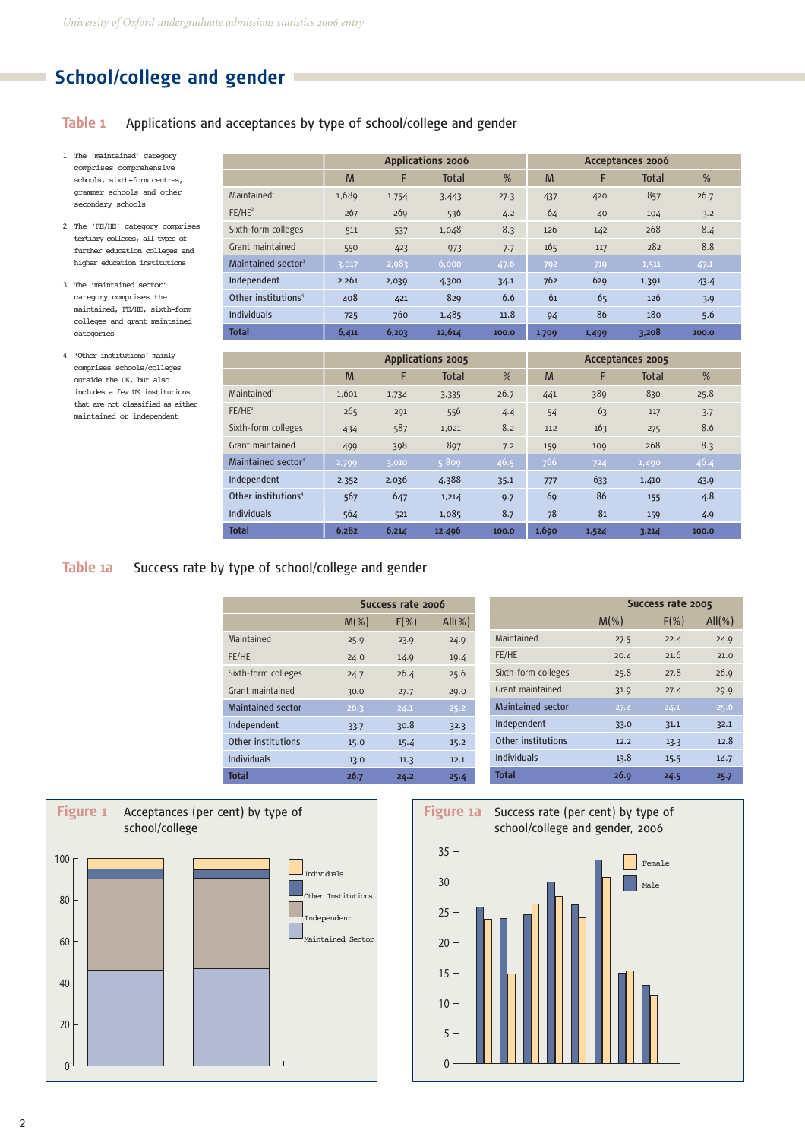# **School/college and gender**

#### **Table 1** Applications and acceptances by type of school/college and gender

- 1 The 'maintained' category comprises comprehensive schools, sixth-form centres, grammar schools and other secondary schools
- 2 The 'FE/HE' category comprises tertiary colleges, all types of further education colleges and higher education institutions
- 3 The 'maintained sector' category comprises the maintained, FE/HE, sixth-form colleges and grant maintained categories
- 4 'Other institutions' mainly comprises schools/colleges outside the UK, but also includes a few UK institutions that are not classified as either maintained or independent

|                                 | <b>Applications 2006</b> |       |              |       |       | Acceptances 2006 |              |       |
|---------------------------------|--------------------------|-------|--------------|-------|-------|------------------|--------------|-------|
|                                 | M                        | F     | <b>Total</b> | %     | M     | F                | <b>Total</b> | %     |
| Maintained <sup>1</sup>         | 1,689                    | 1,754 | 3,443        | 27.3  | 437   | 420              | 857          | 26.7  |
| FE/HE <sup>2</sup>              | 267                      | 269   | 536          | 4.2   | 64    | 40               | 104          | 3.2   |
| Sixth-form colleges             | 511                      | 537   | 1,048        | 8.3   | 126   | 142              | 268          | 8.4   |
| Grant maintained                | 550                      | 423   | 973          | 7.7   | 165   | 117              | 282          | 8.8   |
| Maintained sector <sup>3</sup>  | 3,017                    | 2,983 | 6,000        | 47.6  | 792   | 719              | 1,511        | 47.1  |
| Independent                     | 2,261                    | 2,039 | 4,300        | 34.1  | 762   | 629              | 1,391        | 43.4  |
| Other institutions <sup>4</sup> | 408                      | 421   | 829          | 6.6   | 61    | 65               | 126          | 3.9   |
| <b>Individuals</b>              | 725                      | 760   | 1,485        | 11.8  | 94    | 86               | 180          | 5.6   |
| <b>Total</b>                    | 6,411                    | 6,203 | 12,614       | 100.0 | 1,709 | 1,499            | 3,208        | 100.0 |

|                                 | <b>Applications 2005</b> |       |              |       |       |       | Acceptances 2005 |       |  |
|---------------------------------|--------------------------|-------|--------------|-------|-------|-------|------------------|-------|--|
|                                 | M                        | F     | <b>Total</b> | %     | M     | F     | <b>Total</b>     | %     |  |
| Maintained <sup>1</sup>         | 1,601                    | 1,734 | 3,335        | 26.7  | 441   | 389   | 830              | 25.8  |  |
| $FE/HE^2$                       | 265                      | 291   | 556          | 4.4   | 54    | 63    | 117              | 3.7   |  |
| Sixth-form colleges             | 434                      | 587   | 1,021        | 8.2   | 112   | 163   | 275              | 8.6   |  |
| Grant maintained                | 499                      | 398   | 897          | 7.2   | 159   | 109   | 268              | 8.3   |  |
| Maintained sector <sup>3</sup>  | 2,799                    | 3,010 | 5,809        | 46.5  | 766   | 724   | 1,490            | 46.4  |  |
| Independent                     | 2,352                    | 2,036 | 4,388        | 35.1  | 777   | 633   | 1,410            | 43.9  |  |
| Other institutions <sup>4</sup> | 567                      | 647   | 1,214        | 9.7   | 69    | 86    | 155              | 4.8   |  |
| <b>Individuals</b>              | 564                      | 521   | 1,085        | 8.7   | 78    | 81    | 159              | 4.9   |  |
| <b>Total</b>                    | 6.282                    | 6,214 | 12,496       | 100.0 | 1,690 | 1,524 | 3,214            | 100.0 |  |

### **Table 1a** Success rate by type of school/college and gender

|                          | Success rate 2006 |          |           |  |  |  |  |
|--------------------------|-------------------|----------|-----------|--|--|--|--|
|                          | $M(\% )$          | $F(\% )$ | $All(\%)$ |  |  |  |  |
| Maintained               | 25.9              | 23.9     | 24.9      |  |  |  |  |
| FE/HE                    | 24.0              | 14.9     | 19.4      |  |  |  |  |
| Sixth-form colleges      | 24.7              | 26.4     | 25.6      |  |  |  |  |
| Grant maintained         | 30.0              | 27.7     | 29.0      |  |  |  |  |
| <b>Maintained sector</b> | 26.3              | 24.1     | 25.2      |  |  |  |  |
| Independent              | 33.7              | 30.8     | 32.3      |  |  |  |  |
| Other institutions       | 15.0              | 15.4     | 15.2      |  |  |  |  |
| <b>Individuals</b>       | 13.0              | 11.3     | 12.1      |  |  |  |  |
| <b>Total</b>             | 26.7              | 24.2     | 25.4      |  |  |  |  |

|                          | Success rate 2005 |          |           |  |  |  |  |
|--------------------------|-------------------|----------|-----------|--|--|--|--|
|                          | $M(\% )$          | $F(\% )$ | $All(\%)$ |  |  |  |  |
| Maintained               | 27.5              | 22.4     | 24.9      |  |  |  |  |
| FE/HE                    | 20.4              | 21.6     | 21.0      |  |  |  |  |
| Sixth-form colleges      | 25.8              | 27.8     | 26.9      |  |  |  |  |
| Grant maintained         | 31.9              | 27.4     | 29.9      |  |  |  |  |
| <b>Maintained sector</b> | 27.4              | 24.1     | 25.6      |  |  |  |  |
| Independent              | 33.0              | 31.1     | 32.1      |  |  |  |  |
| Other institutions       | 12.2              | 13.3     | 12.8      |  |  |  |  |
| <b>Individuals</b>       | 13.8              | 15.5     | 14.7      |  |  |  |  |
| Total                    | 26.9              | 24.5     | 25.7      |  |  |  |  |



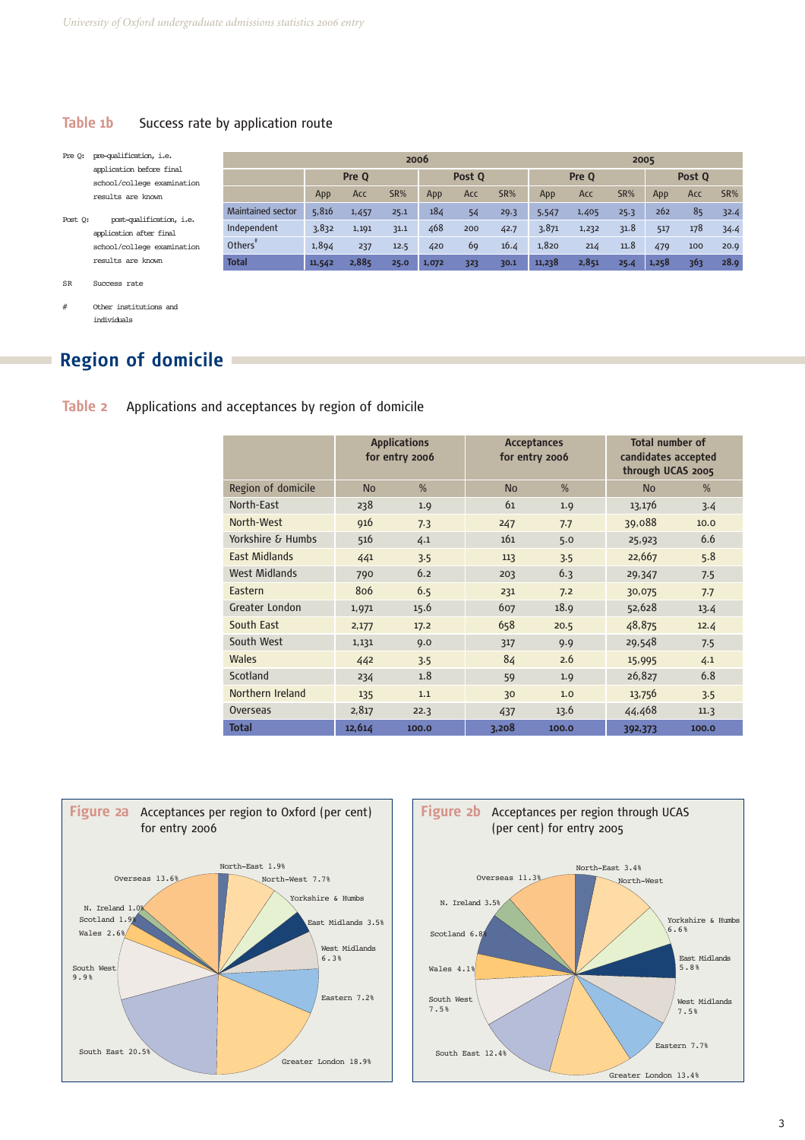#### **Table 1b** Success rate by application route

Pre Q: pre-qualification, i.e. application before final school/college examination results are known

Post Q: post-qualification, i.e. application after final school/college examination results are known

|                          | 2006   |       |      |        |     |       |        | 2005   |      |       |     |      |
|--------------------------|--------|-------|------|--------|-----|-------|--------|--------|------|-------|-----|------|
|                          | Pre O  |       |      | Post O |     | Pre O |        | Post O |      |       |     |      |
|                          | App    | Acc   | SR%  | App    | Acc | SR%   | App    | Acc    | SR%  | App   | Acc | SR%  |
| <b>Maintained sector</b> | 5,816  | 1,457 | 25.1 | 184    | 54  | 29.3  | 5,547  | 1,405  | 25.3 | 262   | 85  | 32.4 |
| Independent              | 3,832  | 1,191 | 31.1 | 468    | 200 | 42.7  | 3,871  | 1,232  | 31.8 | 517   | 178 | 34.4 |
| Others <sup>'</sup>      | 1,894  | 237   | 12.5 | 420    | 69  | 16.4  | 1,820  | 214    | 11.8 | 479   | 100 | 20.9 |
| <b>Total</b>             | 11,542 | 2,885 | 25.0 | 1,072  | 323 | 30.1  | 11,238 | 2,851  | 25.4 | 1,258 | 363 | 28.9 |

SR Success rate

# Other institutions and individuals

# **Region of domicile**

**Table 2** Applications and acceptances by region of domicile

|                       |           | <b>Applications</b> |           | <b>Acceptances</b><br>for entry 2006 |                                          | <b>Total number of</b> |
|-----------------------|-----------|---------------------|-----------|--------------------------------------|------------------------------------------|------------------------|
|                       |           | for entry 2006      |           |                                      | candidates accepted<br>through UCAS 2005 |                        |
| Region of domicile    | <b>No</b> | $\%$                | <b>No</b> | $\%$                                 | <b>No</b>                                | $\%$                   |
| North-East            | 238       | 1.9                 | 61        | 1.9                                  | 13,176                                   | 3.4                    |
| North-West            | 916       | 7.3                 | 247       | 7.7                                  | 39,088                                   | 10.0                   |
| Yorkshire & Humbs     | 516       | 4.1                 | 161       | 5.0                                  | 25,923                                   | 6.6                    |
| East Midlands         | 441       | 3.5                 | 113       | 3.5                                  | 22,667                                   | 5.8                    |
| <b>West Midlands</b>  | 790       | 6.2                 | 203       | 6.3                                  | 29,347                                   | 7.5                    |
| Eastern               | 806       | 6.5                 | 231       | 7.2                                  | 30,075                                   | 7.7                    |
| <b>Greater London</b> | 1,971     | 15.6                | 607       | 18.9                                 | 52,628                                   | 13.4                   |
| South East            | 2,177     | 17.2                | 658       | 20.5                                 | 48,875                                   | 12.4                   |
| South West            | 1,131     | 9.0                 | 317       | 9.9                                  | 29,548                                   | 7.5                    |
| <b>Wales</b>          | 442       | 3.5                 | 84        | 2.6                                  | 15,995                                   | 4.1                    |
| Scotland              | 234       | 1.8                 | 59        | 1.9                                  | 26,827                                   | 6.8                    |
| Northern Ireland      | 135       | 1.1                 | 30        | 1.0                                  | 13,756                                   | 3.5                    |
| Overseas              | 2,817     | 22.3                | 437       | 13.6                                 | 44,468                                   | 11.3                   |
| <b>Total</b>          | 12,614    | 100.0               | 3,208     | 100.0                                | 392,373                                  | 100.0                  |



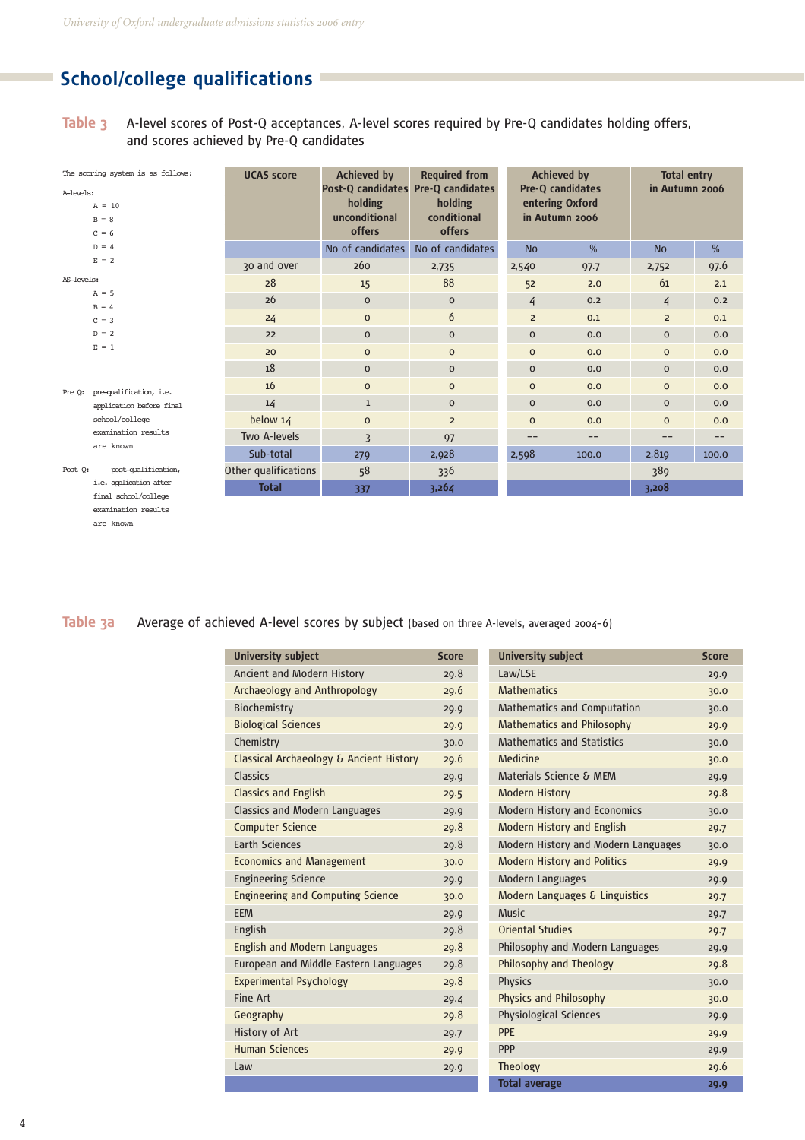# **School/college qualifications**

examination results are known

**Table 3** A-level scores of Post-Q acceptances, A-level scores required by Pre-Q candidates holding offers, and scores achieved by Pre-Q candidates

|            | The scoring system is as follows: | <b>Achieved by</b><br><b>UCAS score</b> |                                                                                 | <b>Required from</b>             |                                                       | <b>Achieved by</b> |                | <b>Total entry</b> |  |
|------------|-----------------------------------|-----------------------------------------|---------------------------------------------------------------------------------|----------------------------------|-------------------------------------------------------|--------------------|----------------|--------------------|--|
| A-levels:  | $A = 10$<br>$B = 8$<br>$C = 6$    |                                         | Post-Q candidates Pre-Q candidates<br>holding<br>unconditional<br><b>offers</b> | holding<br>conditional<br>offers | Pre-Q candidates<br>entering Oxford<br>in Autumn 2006 |                    | in Autumn 2006 |                    |  |
|            | $D = 4$                           |                                         | No of candidates                                                                | No of candidates                 | <b>No</b>                                             | %                  | <b>No</b>      | %                  |  |
|            | $E = 2$                           | 30 and over                             | 260                                                                             | 2,735                            | 2,540                                                 | 97.7               | 2,752          | 97.6               |  |
| AS-levels: |                                   | 28                                      | 15                                                                              | 88                               | 52                                                    | 2.0                | 61             | 2.1                |  |
|            | $A = 5$                           | 26                                      | $\mathbf{0}$                                                                    | $\mathbf 0$                      | 4                                                     | 0.2                | 4              | 0.2                |  |
|            | $B = 4$                           |                                         | $\mathbf{0}$                                                                    | 6                                | $\overline{2}$                                        | 0.1                | $\overline{2}$ | 0.1                |  |
|            | $C = 3$                           | 24                                      |                                                                                 |                                  |                                                       |                    |                |                    |  |
|            | $D = 2$                           | 22                                      | $\mathbf 0$                                                                     | $\mathbf{O}$                     | $\mathbf{0}$                                          | 0.0                | $\mathbf 0$    | 0.0                |  |
|            | $E = 1$                           | 20                                      | $\mathbf{0}$                                                                    | $\mathbf 0$                      | $\mathbf{0}$                                          | 0.0                | $\mathbf 0$    | 0.0                |  |
|            |                                   | 18                                      | $\mathbf{0}$                                                                    | $\mathbf{0}$                     | $\mathbf{O}$                                          | 0.0                | $\mathbf{O}$   | 0.0                |  |
| Pre 0:     | pre-qualification, i.e.           | 16                                      | $\mathbf{0}$                                                                    | $\mathbf{O}$                     | $\mathbf{O}$                                          | 0.0                | $\mathbf{O}$   | 0.0                |  |
|            | application before final          | 14                                      | $\mathbf{1}$                                                                    | $\mathbf{0}$                     | $\mathbf{0}$                                          | 0.0                | $\mathbf{O}$   | 0.0                |  |
|            | school/college                    | below $14$                              | $\mathbf{O}$                                                                    | $\overline{2}$                   | $\mathbf{0}$                                          | 0.0                | $\mathbf 0$    | 0.0                |  |
|            | examination results               | Two A-levels                            | $\overline{3}$                                                                  | 97                               | --                                                    | $- -$              | --             | $- -$              |  |
|            | are known                         | Sub-total                               | 279                                                                             | 2,928                            | 2,598                                                 | 100.0              | 2,819          | 100.0              |  |
| Post Q:    | post-qualification,               | Other qualifications                    | 58                                                                              | 336                              |                                                       |                    | 389            |                    |  |
|            | i.e. application after            | <b>Total</b>                            | 337                                                                             | 3,264                            |                                                       |                    | 3,208          |                    |  |
|            | final school/college              |                                         |                                                                                 |                                  |                                                       |                    |                |                    |  |

Table 3a Average of achieved A-level scores by subject (based on three A-levels, averaged 2004-6)

| University subject                       | <b>Score</b> | <b>University subject</b>           | <b>Score</b> |
|------------------------------------------|--------------|-------------------------------------|--------------|
| Ancient and Modern History               | 29.8         | Law/LSE                             | 29.9         |
| Archaeology and Anthropology             | 29.6         | <b>Mathematics</b>                  | 30.0         |
| Biochemistry                             | 29.9         | <b>Mathematics and Computation</b>  | 30.0         |
| <b>Biological Sciences</b>               | 29.9         | <b>Mathematics and Philosophy</b>   | 29.9         |
| Chemistry                                | 30.0         | <b>Mathematics and Statistics</b>   | 30.0         |
| Classical Archaeology & Ancient History  | 29.6         | Medicine                            | 30.0         |
| Classics                                 | 29.9         | Materials Science & MEM             | 29.9         |
| <b>Classics and English</b>              | 29.5         | <b>Modern History</b>               | 29.8         |
| Classics and Modern Languages            | 29.9         | <b>Modern History and Economics</b> | 30.0         |
| <b>Computer Science</b>                  | 29.8         | <b>Modern History and English</b>   | 29.7         |
| <b>Earth Sciences</b>                    | 29.8         | Modern History and Modern Languages | 30.0         |
| <b>Economics and Management</b>          | 30.0         | <b>Modern History and Politics</b>  | 29.9         |
| <b>Engineering Science</b>               | 29.9         | <b>Modern Languages</b>             | 29.9         |
| <b>Engineering and Computing Science</b> | 30.0         | Modern Languages & Linguistics      | 29.7         |
| <b>EEM</b>                               | 29.9         | <b>Music</b>                        | 29.7         |
| English                                  | 29.8         | <b>Oriental Studies</b>             | 29.7         |
| <b>English and Modern Languages</b>      | 29.8         | Philosophy and Modern Languages     | 29.9         |
| European and Middle Eastern Languages    | 29.8         | Philosophy and Theology             | 29.8         |
| <b>Experimental Psychology</b>           | 29.8         | <b>Physics</b>                      | 30.0         |
| Fine Art                                 | 29.4         | <b>Physics and Philosophy</b>       | 30.0         |
| Geography                                | 29.8         | <b>Physiological Sciences</b>       | 29.9         |
| History of Art                           | 29.7         | <b>PPE</b>                          | 29.9         |
| <b>Human Sciences</b>                    | 29.9         | <b>PPP</b>                          | 29.9         |
| Law                                      | 29.9         | <b>Theology</b>                     | 29.6         |
|                                          |              | <b>Total average</b>                | 29.9         |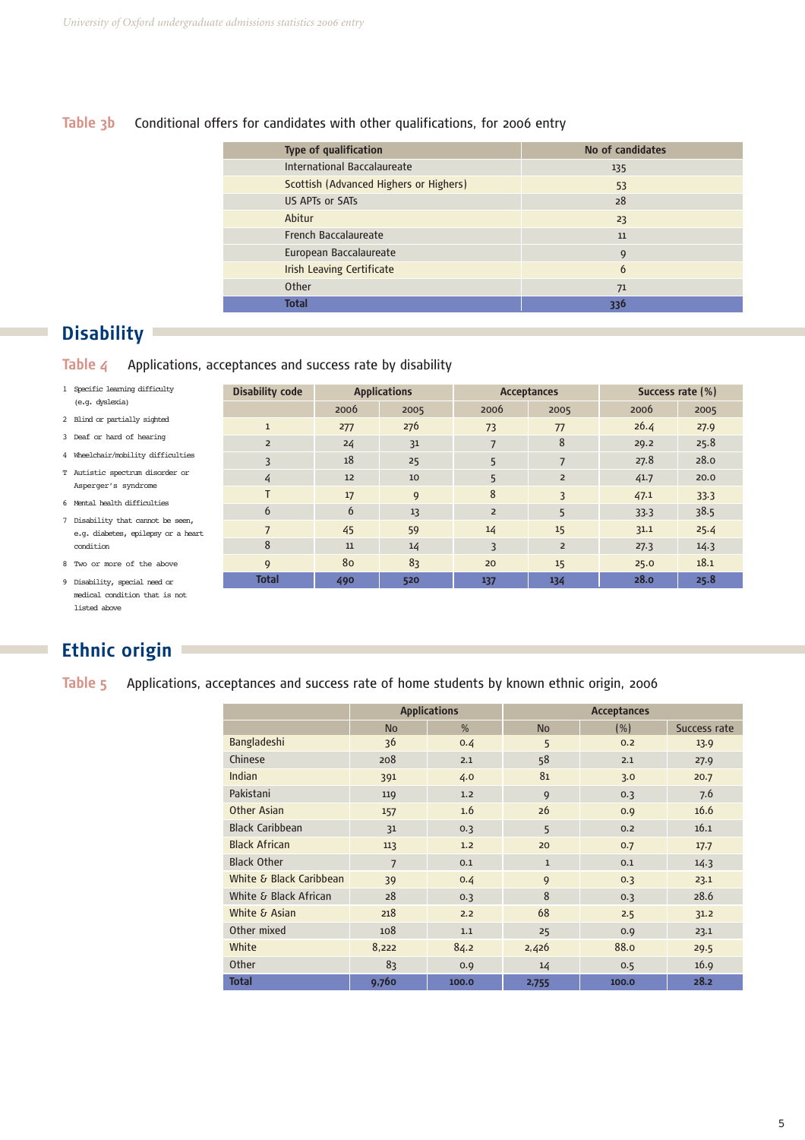#### **Table 3b** Conditional offers for candidates with other qualifications, for 2006 entry

| <b>Type of qualification</b>           | No of candidates |
|----------------------------------------|------------------|
| International Baccalaureate            | 135              |
| Scottish (Advanced Highers or Highers) | 53               |
| US APTs or SATs                        | 28               |
| Abitur                                 | 23               |
| French Baccalaureate                   | 11               |
| European Baccalaureate                 | 9                |
| <b>Irish Leaving Certificate</b>       | 6                |
| Other                                  | 71               |
| <b>Total</b>                           | 336              |

**Disability code Applications Acceptances Acceptances** Success rate (%)

1 277 276 73 77 26.4 27.9 2 24 31 7 8 29.2 25.8 3 18 25 5 7 27.8 28.0 4 12 10 5 2 41.7 20.0 T 17 17 9 8 3 3 47.1 33.3 6 6 13 2 5 33.3 38.5 7 45 59 14 15 31.1 25.4 8 11 14 3 2 27.3 14.3 9 80 83 20 15 25.0 18.1 **Total 490 520 137 134 28.0 25.8**

2006 2005 2006 2005 2006 2005

## **Disability**

**Table 4** Applications, acceptances and success rate by disability

| 1 Specific learning difficulty |
|--------------------------------|
| (e.g. dyslexia)                |
| 2 Blind or partially sighted   |

- 3 Deaf or hard of hearing
- 4 Wheelchair/mobility difficulties
- T Autistic spectrum disorder or Asperger's syndrome
- 6 Mental health difficulties
- 7 Disability that cannot be seen, e.g. diabetes, epilepsy or a heart condition
- 8 Two or more of the above
- 9 Disability, special need or medical condition that is not listed above

# **Ethnic origin**

**Table 5** Applications, acceptances and success rate of home students by known ethnic origin, 2006

|                         |                | <b>Applications</b> | <b>Acceptances</b> |       |              |  |
|-------------------------|----------------|---------------------|--------------------|-------|--------------|--|
|                         | <b>No</b>      | %                   | <b>No</b>          | (% )  | Success rate |  |
| Bangladeshi             | 36             | 0.4                 | 5                  | 0.2   | 13.9         |  |
| Chinese                 | 208            | 2.1                 | 58                 | 2.1   | 27.9         |  |
| Indian                  | 391            | 4.0                 | 81                 | 3.0   | 20.7         |  |
| Pakistani               | 119            | 1.2                 | 9                  | 0.3   | 7.6          |  |
| <b>Other Asian</b>      | 157            | 1.6                 | 26                 | 0.9   | 16.6         |  |
| <b>Black Caribbean</b>  | 31             | 0.3                 | 5                  | 0.2   | 16.1         |  |
| <b>Black African</b>    | 113            | 1.2                 | 20                 | 0.7   | 17.7         |  |
| <b>Black Other</b>      | $\overline{7}$ | 0.1                 | $\mathbf{1}$       | 0.1   | 14.3         |  |
| White & Black Caribbean | 39             | 0.4                 | 9                  | 0.3   | 23.1         |  |
| White & Black African   | 28             | 0.3                 | 8                  | 0.3   | 28.6         |  |
| White & Asian           | 218            | 2.2                 | 68                 | 2.5   | 31.2         |  |
| Other mixed             | 108            | 1.1                 | 25                 | 0.9   | 23.1         |  |
| White                   | 8,222          | 84.2                | 2,426              | 88.0  | 29.5         |  |
| Other                   | 83             | 0.9                 | 14                 | 0.5   | 16.9         |  |
| <b>Total</b>            | 9,760          | 100.0               | 2,755              | 100.0 | 28.2         |  |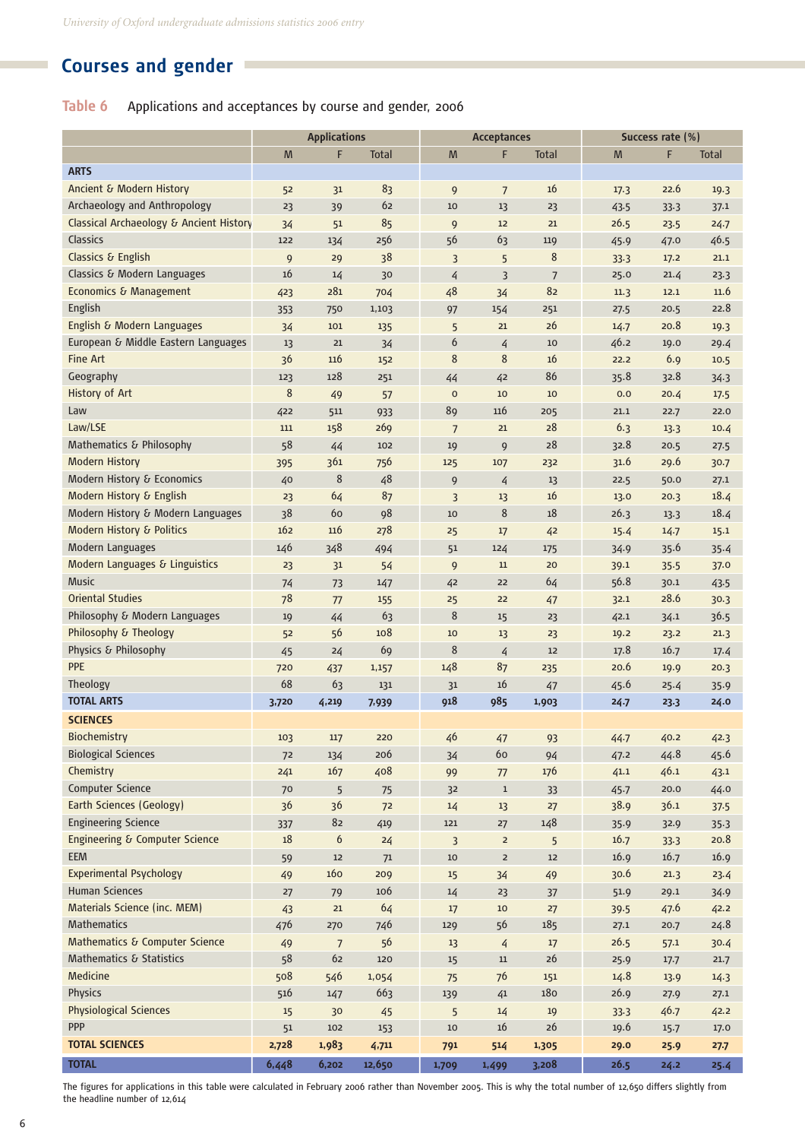# **Courses and gender**

## **Table 6** Applications and acceptances by course and gender, 2006

|                                         | <b>Applications</b> |                |              |                | <b>Acceptances</b> |              |      | Success rate (%) |              |  |
|-----------------------------------------|---------------------|----------------|--------------|----------------|--------------------|--------------|------|------------------|--------------|--|
|                                         | M                   | F              | <b>Total</b> | M              | F                  | <b>Total</b> | M    | F                | <b>Total</b> |  |
| <b>ARTS</b>                             |                     |                |              |                |                    |              |      |                  |              |  |
| Ancient & Modern History                | 52                  | 31             | 83           | 9              | $7\overline{ }$    | 16           | 17.3 | 22.6             | 19.3         |  |
| Archaeology and Anthropology            | 23                  | 39             | 62           | 10             | 13                 | 23           | 43.5 | 33.3             | 37.1         |  |
| Classical Archaeology & Ancient History | 34                  | 51             | 85           | 9              | 12                 | 21           | 26.5 | 23.5             | 24.7         |  |
| Classics                                | 122                 | 134            | 256          | 56             | 63                 | 119          | 45.9 | 47.0             | 46.5         |  |
| Classics & English                      | 9                   | 29             | 38           | 3              | 5                  | 8            | 33.3 | 17.2             | 21.1         |  |
| Classics & Modern Languages             | 16                  | 14             | 30           | 4              | 3                  | 7            | 25.0 | 21.4             | 23.3         |  |
| Economics & Management                  | 423                 | 281            | 704          | 48             | 34                 | 82           | 11.3 | 12.1             | 11.6         |  |
| English                                 | 353                 | 750            | 1,103        | 97             | 154                | 251          | 27.5 | 20.5             | 22.8         |  |
| English & Modern Languages              | 34                  | 101            | 135          | 5              | 21                 | 26           | 14.7 | 20.8             | 19.3         |  |
| European & Middle Eastern Languages     | 13                  | 21             | 34           | 6              | 4                  | 10           | 46.2 | 19.0             | 29.4         |  |
| <b>Fine Art</b>                         | 36                  | 116            | 152          | 8              | 8                  | 16           | 22.2 | 6.9              | 10.5         |  |
| Geography                               | 123                 | 128            | 251          | 44             | 42                 | 86           | 35.8 | 32.8             | 34.3         |  |
| <b>History of Art</b>                   | 8                   | 49             | 57           | $\mathsf{o}$   | 10                 | 10           | 0.0  | 20.4             | 17.5         |  |
| Law                                     | 422                 | 511            | 933          | 89             | 116                | 205          | 21.1 | 22.7             | 22.0         |  |
| Law/LSE                                 | 111                 | 158            | 269          | $\overline{7}$ | 21                 | 28           | 6.3  | 13.3             | 10.4         |  |
| Mathematics & Philosophy                | 58                  | 44             | 102          | 19             | 9                  | 28           | 32.8 | 20.5             | 27.5         |  |
| <b>Modern History</b>                   | 395                 | 361            | 756          | 125            | 107                | 232          | 31.6 | 29.6             | 30.7         |  |
| Modern History & Economics              | 40                  | 8              | 48           | 9              | $\overline{4}$     | 13           | 22.5 | 50.0             | 27.1         |  |
| Modern History & English                | 23                  | 64             | 87           | 3              | 13                 | 16           | 13.0 | 20.3             | 18.4         |  |
| Modern History & Modern Languages       | 38                  | 60             | 98           | 10             | 8                  | $18\,$       | 26.3 | 13.3             | 18.4         |  |
| Modern History & Politics               | 162                 | 116            | 278          | 25             | 17                 | 42           | 15.4 | 14.7             | 15.1         |  |
| Modern Languages                        | 146                 | 348            | 494          | 51             | 124                | 175          | 34.9 | 35.6             | 35.4         |  |
| Modern Languages & Linguistics          | 23                  | 31             | 54           | 9              | 11                 | 20           | 39.1 | 35.5             | 37.0         |  |
| <b>Music</b>                            | 74                  | 73             | 147          | 42             | 22                 | 64           | 56.8 | 30.1             | 43.5         |  |
| <b>Oriental Studies</b>                 | 78                  | 77             | 155          | 25             | 22                 | 47           | 32.1 | 28.6             | 30.3         |  |
| Philosophy & Modern Languages           | 19                  | 44             | 63           | 8              | 15                 | 23           | 42.1 | 34.1             | 36.5         |  |
| Philosophy & Theology                   | 52                  | 56             | 108          | 10             | 13                 | 23           | 19.2 | 23.2             | 21.3         |  |
| Physics & Philosophy                    | 45                  |                | 69           | 8              | $\overline{4}$     | 12           | 17.8 | 16.7             |              |  |
| <b>PPE</b>                              |                     | 24             |              | 148            | 87                 |              | 20.6 |                  | 17.4         |  |
| Theology                                | 720<br>68           | 437<br>63      | 1,157        |                | 16                 | 235          | 45.6 | 19.9             | 20.3         |  |
| <b>TOTAL ARTS</b>                       |                     |                | 131          | 31<br>918      | 985                | 47           |      | 25.4             | 35.9         |  |
|                                         | 3,720               | 4,219          | 7,939        |                |                    | 1,903        | 24.7 | 23.3             | 24.0         |  |
| <b>SCIENCES</b>                         |                     |                |              |                |                    |              |      |                  |              |  |
| Biochemistry                            | 103                 | 117            | 220          | 46             | 47                 | 93           | 44.7 | 40.2             | 42.3         |  |
| <b>Biological Sciences</b>              | 72                  | 134            | 206          | 34             | 60                 | 94           | 47.2 | 44.8             | 45.6         |  |
| Chemistry                               | 241                 | 167            | 408          | 99             | 77                 | 176          | 41.1 | 46.1             | 43.1         |  |
| Computer Science                        | 70                  | 5              | 75           | 32             | $\mathbf 1$        | 33           | 45.7 | 20.0             | 44.0         |  |
| Earth Sciences (Geology)                | 36                  | 36             | 72           | 14             | 13                 | 27           | 38.9 | 36.1             | 37.5         |  |
| <b>Engineering Science</b>              | 337                 | 82             | 419          | 121            | 27                 | 148          | 35.9 | 32.9             | 35.3         |  |
| Engineering & Computer Science          | 18                  | 6              | 24           | 3              | $\overline{a}$     | 5            | 16.7 | 33.3             | 20.8         |  |
| <b>EEM</b>                              | 59                  | 12             | 71           | 10             | $\mathsf{2}$       | $12$         | 16.9 | 16.7             | 16.9         |  |
| <b>Experimental Psychology</b>          | 49                  | 160            | 209          | 15             | 34                 | 49           | 30.6 | 21.3             | 23.4         |  |
| Human Sciences                          | 27                  | 79             | 106          | 14             | 23                 | 37           | 51.9 | 29.1             | 34.9         |  |
| Materials Science (inc. MEM)            | 43                  | 21             | 64           | 17             | $10$               | 27           | 39.5 | 47.6             | 42.2         |  |
| <b>Mathematics</b>                      | 476                 | 270            | 746          | 129            | 56                 | 185          | 27.1 | 20.7             | 24.8         |  |
| Mathematics & Computer Science          | 49                  | $\overline{7}$ | 56           | 13             | $\overline{4}$     | 17           | 26.5 | 57.1             | 30.4         |  |
| Mathematics & Statistics                | 58                  | 62             | 120          | 15             | $11\,$             | $26$         | 25.9 | 17.7             | 21.7         |  |
| Medicine                                | 508                 | 546            | 1,054        | 75             | 76                 | 151          | 14.8 | 13.9             | 14.3         |  |
| Physics                                 | 516                 | 147            | 663          | 139            | $\sqrt{41}$        | 180          | 26.9 | 27.9             | 27.1         |  |
| <b>Physiological Sciences</b>           | 15                  | 30             | 45           | 5              | 14                 | $19\,$       | 33.3 | 46.7             | 42.2         |  |
| <b>PPP</b>                              | 51                  | 102            | 153          | 10             | $16\,$             | $26$         | 19.6 | 15.7             | 17.0         |  |
| <b>TOTAL SCIENCES</b>                   | 2,728               | 1,983          | 4,711        | 791            | 514                | 1,305        | 29.0 | 25.9             | 27.7         |  |
| <b>TOTAL</b>                            | 6,448               | 6,202          | 12,650       | 1,709          | 1,499              | 3,208        | 26.5 | 24.2             | 25.4         |  |

The figures for applications in this table were calculated in February 2006 rather than November 2005. This is why the total number of 12,650 differs slightly from the headline number of 12,614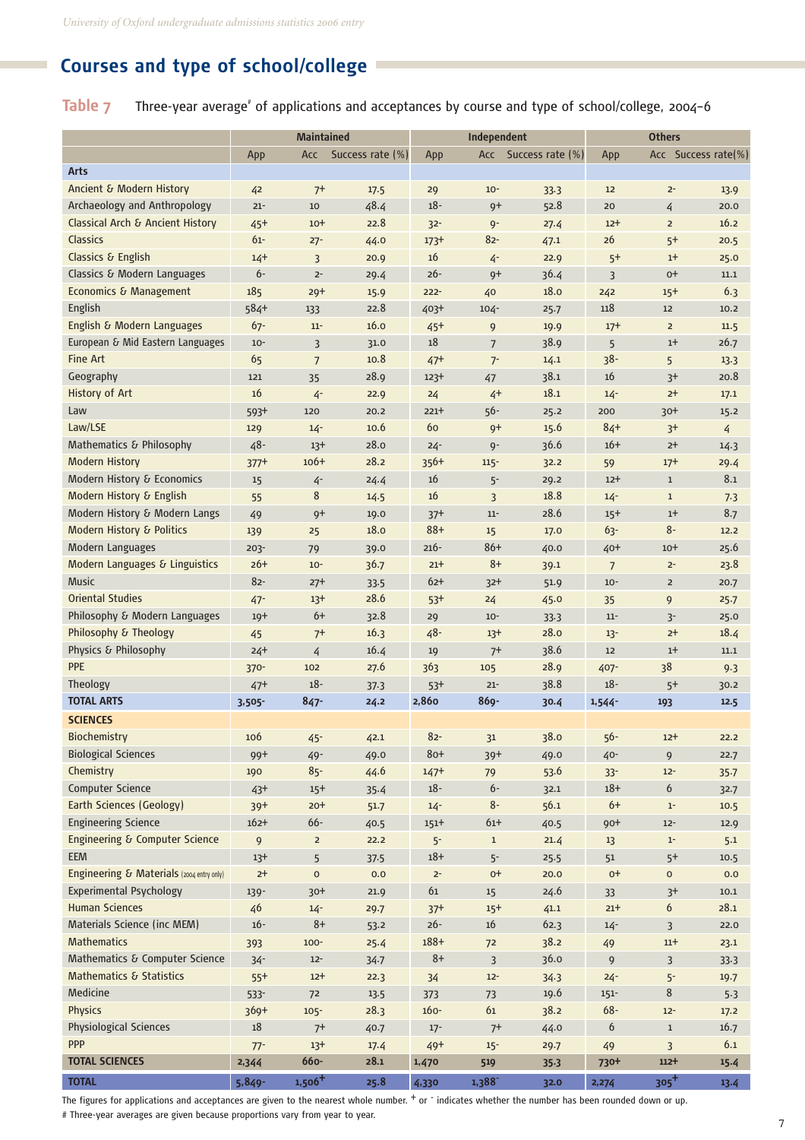# **Courses and type of school/college**

Table 7 Three-year average<sup>\*</sup> of applications and acceptances by course and type of school/college, 2004-6

|                                           | <b>Maintained</b> |                |                  | Independent |                |                      | <b>Others</b>    |                     |      |
|-------------------------------------------|-------------------|----------------|------------------|-------------|----------------|----------------------|------------------|---------------------|------|
|                                           | App               | Acc            | Success rate (%) | App         |                | Acc Success rate (%) | App              | Acc Success rate(%) |      |
| <b>Arts</b>                               |                   |                |                  |             |                |                      |                  |                     |      |
| Ancient & Modern History                  | 42                | $7^+$          | 17.5             | 29          | $10 -$         | 33.3                 | 12               | $2-$                | 13.9 |
| Archaeology and Anthropology              | $21 -$            | 10             | 48.4             | $18 -$      | $9+$           | 52.8                 | 20               | 4                   | 20.0 |
| Classical Arch & Ancient History          | $45+$             | $10+$          | 22.8             | $32 -$      | $9 -$          | 27.4                 | $12+$            | $\overline{2}$      | 16.2 |
| Classics                                  | $61 -$            | $27 -$         | 44.0             | $173+$      | $82 -$         | 47.1                 | 26               | $5+$                | 20.5 |
| Classics & English                        | $14+$             | 3              | 20.9             | 16          | 4-             | 22.9                 | $5+$             | $1+$                | 25.0 |
| Classics & Modern Languages               | $6 -$             | $2-$           | 29.4             | $26 -$      | $9+$           | 36.4                 | 3                | $0+$                | 11.1 |
| <b>Economics &amp; Management</b>         | 185               | $29+$          | 15.9             | $222 -$     | 40             | 18.0                 | 242              | $15+$               | 6.3  |
| English                                   | 584+              | 133            | 22.8             | 403+        | $104 -$        | 25.7                 | 118              | 12                  | 10.2 |
| English & Modern Languages                | $67 -$            | $11 -$         | 16.0             | $45+$       | 9              | 19.9                 | $17+$            | $\overline{2}$      | 11.5 |
| European & Mid Eastern Languages          | $10 -$            | $\overline{3}$ | 31.0             | 18          | $\overline{7}$ | 38.9                 | 5                | $1+$                | 26.7 |
| <b>Fine Art</b>                           | 65                | $\overline{7}$ | 10.8             | $47+$       | $7 -$          | 14.1                 | $38 -$           | 5                   | 13.3 |
| Geography                                 | 121               | 35             | 28.9             | $123+$      | 47             | 38.1                 | 16               | $3+$                | 20.8 |
| History of Art                            | 16                | $4 -$          | 22.9             | 24          | $4+$           | 18.1                 | $14 -$           | $2+$                | 17.1 |
| Law                                       | $593+$            | 120            | 20.2             | $221+$      | $56 -$         | 25.2                 | 200              | $30+$               | 15.2 |
| Law/LSE                                   | 129               | $14 -$         | 10.6             | 60          | $9+$           | 15.6                 | $84+$            | $3+$                | 4    |
| Mathematics & Philosophy                  | $48 -$            | $13+$          | 28.0             | $24 -$      | $Q -$          | 36.6                 | $16+$            | $2+$                | 14.3 |
| <b>Modern History</b>                     | $377+$            | $106+$         | 28.2             | 356+        | $115 -$        | 32.2                 | 59               | $17+$               | 29.4 |
| Modern History & Economics                | 15                | $4 -$          | 24.4             | 16          | $5-$           | 29.2                 | $12+$            | $\mathbf{1}$        | 8.1  |
| Modern History & English                  | 55                | 8              | 14.5             | 16          | $\overline{3}$ | 18.8                 | $14 -$           | $\mathbf{1}$        | 7.3  |
| Modern History & Modern Langs             | 49                | $9+$           | 19.0             | $37+$       | $11-$          | 28.6                 | $15+$            | $1+$                | 8.7  |
| Modern History & Politics                 | 139               | 25             | 18.0             | $88+$       | 15             | 17.0                 | $63 -$           | $8-$                | 12.2 |
| Modern Languages                          | $203 -$           | 79             | 39.0             | $216 -$     | $86+$          | 40.0                 | $40+$            | $10+$               | 25.6 |
| Modern Languages & Linguistics            | $26+$             | $10-$          | 36.7             | $21+$       | $8+$           | 39.1                 | $7\overline{ }$  | $2 -$               | 23.8 |
| <b>Music</b>                              | $82 -$            | $27+$          | 33.5             | 62+         | $32+$          | 51.9                 | $10 -$           | $\overline{2}$      | 20.7 |
| <b>Oriental Studies</b>                   | $47 -$            | $13+$          | 28.6             | $53+$       | 24             | 45.0                 | 35               | 9                   | 25.7 |
| Philosophy & Modern Languages             | $19+$             | $6+$           | 32.8             | 29          | $10 -$         | 33.3                 | $11 -$           | $3-$                | 25.0 |
| Philosophy & Theology                     | 45                | $7+$           | 16.3             | $48 -$      | $13+$          | 28.0                 | $13 -$           | $2+$                | 18.4 |
| Physics & Philosophy                      | $24+$             | $\overline{4}$ | 16.4             | 19          | $7+$           | 38.6                 | 12               | $1+$                | 11.1 |
| <b>PPE</b>                                | $370 -$           | 102            | 27.6             | 363         | 105            | 28.9                 | 407-             | 38                  | 9.3  |
| Theology                                  | $47+$             | $18 -$         | 37.3             | $53+$       | $21 -$         | 38.8                 | $18 -$           | $5+$                | 30.2 |
| <b>TOTAL ARTS</b>                         | 3,505-            | $847 -$        | 24.2             | 2,860       | $869 -$        | 30.4                 | $1,544-$         | 193                 | 12.5 |
| <b>SCIENCES</b>                           |                   |                |                  |             |                |                      |                  |                     |      |
| Biochemistry                              | 106               | $45 -$         | 42.1             | 82-         | 31             | 38.0                 | 56-              | $12+$               | 22.2 |
| <b>Biological Sciences</b>                | 99+               | $49 -$         | 49.0             | $80+$       | $39+$          | 49.0                 | $40 -$           | 9                   | 22.7 |
| Chemistry                                 | 190               | $85 -$         | 44.6             | $147 +$     | 79             | 53.6                 | $33 -$           | $12 -$              | 35.7 |
| Computer Science                          | $43+$             | $15+$          | 35.4             | $18 -$      | $6 -$          | 32.1                 | $18 +$           | 6                   | 32.7 |
| <b>Earth Sciences (Geology)</b>           | $39+$             | $20+$          | 51.7             | $14 -$      | $8-$           | 56.1                 | $6+$             | $1-$                | 10.5 |
| <b>Engineering Science</b>                | $162+$            | $66 -$         | 40.5             | $151+$      | $61 +$         | 40.5                 | 90+              | $12 -$              | 12.9 |
| Engineering & Computer Science            | 9                 | $\overline{2}$ | 22.2             | $5 -$       | $\mathbf{1}$   | 21.4                 | 13               | $1-$                | 5.1  |
| <b>EEM</b>                                | $13+$             | 5              | 37.5             | $18+$       | $5 -$          | 25.5                 | $51\,$           | $5+$                | 10.5 |
| Engineering & Materials (2004 entry only) | $2+$              | $\mathsf{o}$   | 0.0              | $2 -$       | $0+$           | 20.0                 | $0+$             | 0                   | 0.0  |
| Experimental Psychology                   | 139-              | $30+$          | 21.9             | 61          | 15             | 24.6                 | 33               | $3+$                | 10.1 |
| <b>Human Sciences</b>                     | 46                | $14 -$         | 29.7             | $37+$       | $15+$          | 41.1                 | $21+$            | 6                   | 28.1 |
| Materials Science (inc MEM)               | $16 -$            | $8+$           | 53.2             | $26 -$      | $16$           | 62.3                 | $14 -$           | 3                   | 22.0 |
| <b>Mathematics</b>                        | 393               | $100 -$        | 25.4             | $188 +$     | 72             | 38.2                 | 49               | $11+$               | 23.1 |
| Mathematics & Computer Science            | $34 -$            | $12 -$         | 34.7             | $8+$        | $\overline{3}$ | 36.0                 | $\boldsymbol{9}$ | 3                   | 33.3 |
| Mathematics & Statistics                  | $55+$             | $12+$          | 22.3             | 34          | $12 -$         | 34.3                 | $24 -$           | $5-$                | 19.7 |
| Medicine                                  | $533 -$           | 72             | 13.5             | 373         | 73             | 19.6                 | $151 -$          | 8                   | 5.3  |
| <b>Physics</b>                            | $369+$            | $105 -$        | 28.3             | $160 -$     | 61             | 38.2                 | $68 -$           | $12 -$              | 17.2 |
| <b>Physiological Sciences</b>             | $18\,$            | $7+$           | 40.7             | $17 -$      | $7+$           | 44.0                 | 6                | $\mathbf 1$         | 16.7 |
| <b>PPP</b>                                | $77 -$            | $13+$          | 17.4             | $49+$       | $15 -$         | 29.7                 | 49               | 3                   | 6.1  |
| <b>TOTAL SCIENCES</b>                     | 2,344             | 660-           | 28.1             | 1,470       | 519            | $35-3$               | 730+             | $112 +$             | 15.4 |
| <b>TOTAL</b>                              | $5.849 -$         | $1,506+$       | 25.8             | 4,330       | 1,388          | 32.0                 | 2,274            | $305 +$             | 13.4 |

The figures for applications and acceptances are given to the nearest whole number. + or - indicates whether the number has been rounded down or up. # Three-year averages are given because proportions vary from year to year.